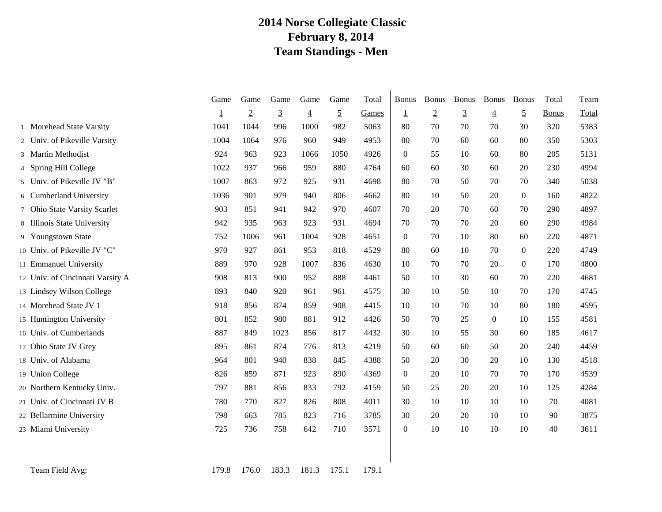### **2014 Norse Collegiate Classic February 8, 2014 Team Standings - Men**

|                                  | Game | Game           | Game           | Game           | Game           | Total | <b>Bonus</b>     | <b>Bonus</b>   | <b>Bonus</b>   | <b>Bonus</b>   | <b>Bonus</b>     | Total        | Team  |
|----------------------------------|------|----------------|----------------|----------------|----------------|-------|------------------|----------------|----------------|----------------|------------------|--------------|-------|
|                                  | T    | $\overline{2}$ | $\overline{3}$ | $\overline{4}$ | $\overline{5}$ | Games | $\overline{1}$   | $\overline{2}$ | $\overline{3}$ | $\overline{4}$ | $\overline{5}$   | <b>Bonus</b> | Total |
| 1 Morehead State Varsity         | 1041 | 1044           | 996            | 1000           | 982            | 5063  | 80               | 70             | 70             | 70             | 30               | 320          | 5383  |
| 2 Univ. of Pikeville Varsity     | 1004 | 1064           | 976            | 960            | 949            | 4953  | 80               | 70             | 60             | 60             | 80               | 350          | 5303  |
| 3 Martin Methodist               | 924  | 963            | 923            | 1066           | 1050           | 4926  | $\boldsymbol{0}$ | 55             | 10             | 60             | 80               | 205          | 5131  |
| 4 Spring Hill College            | 1022 | 937            | 966            | 959            | 880            | 4764  | 60               | 60             | 30             | 60             | 20               | 230          | 4994  |
| 5 Univ. of Pikeville JV "B"      | 1007 | 863            | 972            | 925            | 931            | 4698  | 80               | 70             | 50             | 70             | 70               | 340          | 5038  |
| 6 Cumberland University          | 1036 | 901            | 979            | 940            | 806            | 4662  | 80               | 10             | 50             | 20             | $\overline{0}$   | 160          | 4822  |
| 7 Ohio State Varsity Scarlet     | 903  | 851            | 941            | 942            | 970            | 4607  | 70               | 20             | 70             | 60             | 70               | 290          | 4897  |
| 8 Illinois State University      | 942  | 935            | 963            | 923            | 931            | 4694  | 70               | 70             | 70             | 20             | 60               | 290          | 4984  |
| 9 Youngstown State               | 752  | 1006           | 961            | 1004           | 928            | 4651  | $\Omega$         | 70             | 10             | 80             | 60               | 220          | 4871  |
| 10 Univ. of Pikeville JV "C"     | 970  | 927            | 861            | 953            | 818            | 4529  | 80               | 60             | 10             | 70             | $\boldsymbol{0}$ | 220          | 4749  |
| 11 Emmanuel University           | 889  | 970            | 928            | 1007           | 836            | 4630  | 10               | 70             | 70             | 20             | $\overline{0}$   | 170          | 4800  |
| 12 Univ. of Cincinnati Varsity A | 908  | 813            | 900            | 952            | 888            | 4461  | 50               | 10             | 30             | 60             | 70               | 220          | 4681  |
| 13 Lindsey Wilson College        | 893  | 840            | 920            | 961            | 961            | 4575  | 30               | 10             | 50             | 10             | 70               | 170          | 4745  |
| 14 Morehead State JV 1           | 918  | 856            | 874            | 859            | 908            | 4415  | 10               | 10             | 70             | 10             | 80               | 180          | 4595  |
| 15 Huntington University         | 801  | 852            | 980            | 881            | 912            | 4426  | 50               | 70             | 25             | $\Omega$       | 10               | 155          | 4581  |
| 16 Univ. of Cumberlands          | 887  | 849            | 1023           | 856            | 817            | 4432  | 30               | 10             | 55             | 30             | 60               | 185          | 4617  |
| 17 Ohio State JV Grey            | 895  | 861            | 874            | 776            | 813            | 4219  | 50               | 60             | 60             | 50             | 20               | 240          | 4459  |
| 18 Univ. of Alabama              | 964  | 801            | 940            | 838            | 845            | 4388  | 50               | 20             | 30             | 20             | 10               | 130          | 4518  |
| 19 Union College                 | 826  | 859            | 871            | 923            | 890            | 4369  | $\overline{0}$   | 20             | 10             | 70             | 70               | 170          | 4539  |
| 20 Northern Kentucky Univ.       | 797  | 881            | 856            | 833            | 792            | 4159  | 50               | 25             | 20             | 20             | 10               | 125          | 4284  |
| 21 Univ. of Cincinnati JV B      | 780  | 770            | 827            | 826            | 808            | 4011  | 30               | 10             | 10             | 10             | 10               | 70           | 4081  |
| 22 Bellarmine University         | 798  | 663            | 785            | 823            | 716            | 3785  | 30               | 20             | 20             | 10             | 10               | 90           | 3875  |
| 23 Miami University              | 725  | 736            | 758            | 642            | 710            | 3571  | $\overline{0}$   | 10             | 10             | 10             | 10               | 40           | 3611  |
|                                  |      |                |                |                |                |       |                  |                |                |                |                  |              |       |

Team Field Avg: 179.8 179.8 176.0 183.3 181.3 175.1 179.1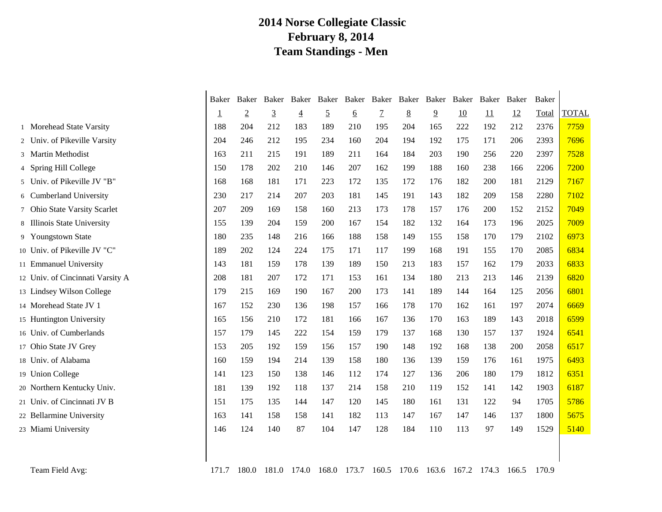## **2014 Norse Collegiate Classic February 8, 2014 Team Standings - Men**

|                                  | Baker    | Baker          | Baker          | Baker          | Baker          | Baker    | Baker          | Baker | Baker          | Baker | Baker | Baker | Baker |              |
|----------------------------------|----------|----------------|----------------|----------------|----------------|----------|----------------|-------|----------------|-------|-------|-------|-------|--------------|
|                                  | <u>1</u> | $\overline{2}$ | $\overline{3}$ | $\overline{4}$ | $\overline{5}$ | <u>6</u> | $\overline{7}$ | 8     | $\overline{9}$ | 10    | 11    | 12    | Total | <b>TOTAL</b> |
| 1 Morehead State Varsity         | 188      | 204            | 212            | 183            | 189            | 210      | 195            | 204   | 165            | 222   | 192   | 212   | 2376  | 7759         |
| 2 Univ. of Pikeville Varsity     | 204      | 246            | 212            | 195            | 234            | 160      | 204            | 194   | 192            | 175   | 171   | 206   | 2393  | 7696         |
| 3 Martin Methodist               | 163      | 211            | 215            | 191            | 189            | 211      | 164            | 184   | 203            | 190   | 256   | 220   | 2397  | 7528         |
| 4 Spring Hill College            | 150      | 178            | 202            | 210            | 146            | 207      | 162            | 199   | 188            | 160   | 238   | 166   | 2206  | 7200         |
| 5 Univ. of Pikeville JV "B"      | 168      | 168            | 181            | 171            | 223            | 172      | 135            | 172   | 176            | 182   | 200   | 181   | 2129  | 7167         |
| 6 Cumberland University          | 230      | 217            | 214            | 207            | 203            | 181      | 145            | 191   | 143            | 182   | 209   | 158   | 2280  | 7102         |
| 7 Ohio State Varsity Scarlet     | 207      | 209            | 169            | 158            | 160            | 213      | 173            | 178   | 157            | 176   | 200   | 152   | 2152  | 7049         |
| 8 Illinois State University      | 155      | 139            | 204            | 159            | 200            | 167      | 154            | 182   | 132            | 164   | 173   | 196   | 2025  | 7009         |
| 9 Youngstown State               | 180      | 235            | 148            | 216            | 166            | 188      | 158            | 149   | 155            | 158   | 170   | 179   | 2102  | 6973         |
| 10 Univ. of Pikeville JV "C"     | 189      | 202            | 124            | 224            | 175            | 171      | 117            | 199   | 168            | 191   | 155   | 170   | 2085  | 6834         |
| 11 Emmanuel University           | 143      | 181            | 159            | 178            | 139            | 189      | 150            | 213   | 183            | 157   | 162   | 179   | 2033  | 6833         |
| 12 Univ. of Cincinnati Varsity A | 208      | 181            | 207            | 172            | 171            | 153      | 161            | 134   | 180            | 213   | 213   | 146   | 2139  | 6820         |
| 13 Lindsey Wilson College        | 179      | 215            | 169            | 190            | 167            | 200      | 173            | 141   | 189            | 144   | 164   | 125   | 2056  | 6801         |
| 14 Morehead State JV 1           | 167      | 152            | 230            | 136            | 198            | 157      | 166            | 178   | 170            | 162   | 161   | 197   | 2074  | 6669         |
| 15 Huntington University         | 165      | 156            | 210            | 172            | 181            | 166      | 167            | 136   | 170            | 163   | 189   | 143   | 2018  | 6599         |
| 16 Univ. of Cumberlands          | 157      | 179            | 145            | 222            | 154            | 159      | 179            | 137   | 168            | 130   | 157   | 137   | 1924  | 6541         |
| 17 Ohio State JV Grey            | 153      | 205            | 192            | 159            | 156            | 157      | 190            | 148   | 192            | 168   | 138   | 200   | 2058  | 6517         |
| 18 Univ. of Alabama              | 160      | 159            | 194            | 214            | 139            | 158      | 180            | 136   | 139            | 159   | 176   | 161   | 1975  | 6493         |
| 19 Union College                 | 141      | 123            | 150            | 138            | 146            | 112      | 174            | 127   | 136            | 206   | 180   | 179   | 1812  | 6351         |
| 20 Northern Kentucky Univ.       | 181      | 139            | 192            | 118            | 137            | 214      | 158            | 210   | 119            | 152   | 141   | 142   | 1903  | 6187         |
| 21 Univ. of Cincinnati JV B      | 151      | 175            | 135            | 144            | 147            | 120      | 145            | 180   | 161            | 131   | 122   | 94    | 1705  | 5786         |
| 22 Bellarmine University         | 163      | 141            | 158            | 158            | 141            | 182      | 113            | 147   | 167            | 147   | 146   | 137   | 1800  | 5675         |
| 23 Miami University              | 146      | 124            | 140            | 87             | 104            | 147      | 128            | 184   | 110            | 113   | 97    | 149   | 1529  | 5140         |
|                                  |          |                |                |                |                |          |                |       |                |       |       |       |       |              |
| Team Field Avg:                  | 171.7    | 180.0          | 181.0          | 174.0          | 168.0          | 173.7    | 160.5          | 170.6 | 163.6          | 167.2 | 174.3 | 166.5 | 170.9 |              |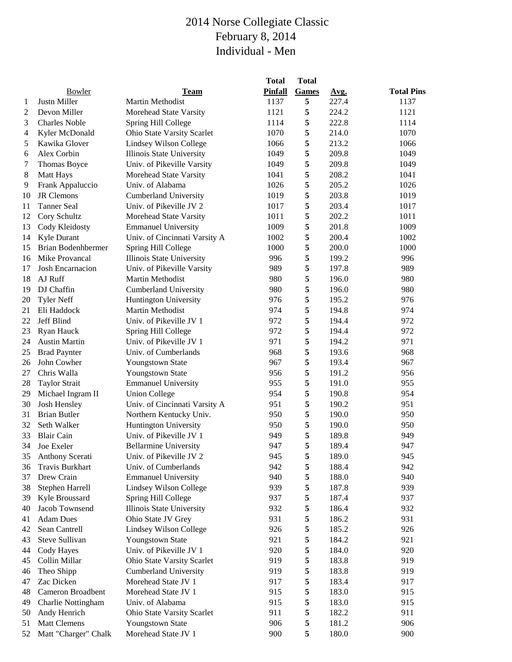|    | Bowler                    | <b>Team</b>                   | <b>Total</b><br>Pinfall | <b>Total</b><br>Games | Avg.  | <b>Total Pins</b> |
|----|---------------------------|-------------------------------|-------------------------|-----------------------|-------|-------------------|
| 1  | Justn Miller              | Martin Methodist              | 1137                    | 5                     | 227.4 | 1137              |
| 2  | Devon Miller              | Morehead State Varsity        | 1121                    | 5                     | 224.2 | 1121              |
| 3  | <b>Charles Noble</b>      | Spring Hill College           | 1114                    | 5                     | 222.8 | 1114              |
| 4  | Kyler McDonald            | Ohio State Varsity Scarlet    | 1070                    | 5                     | 214.0 | 1070              |
| 5  | Kawika Glover             | Lindsey Wilson College        | 1066                    | 5                     | 213.2 | 1066              |
| 6  | Alex Corbin               | Illinois State University     | 1049                    | 5                     | 209.8 | 1049              |
| 7  | Thomas Boyce              | Univ. of Pikeville Varsity    | 1049                    | 5                     | 209.8 | 1049              |
| 8  | <b>Matt Hays</b>          | Morehead State Varsity        | 1041                    | 5                     | 208.2 | 1041              |
| 9  | Frank Appaluccio          | Univ. of Alabama              | 1026                    | 5                     | 205.2 | 1026              |
| 10 | JR Clemons                | <b>Cumberland University</b>  | 1019                    | 5                     | 203.8 | 1019              |
| 11 | <b>Tanner Seal</b>        | Univ. of Pikeville JV 2       | 1017                    | 5                     | 203.4 | 1017              |
| 12 | Cory Schultz              | Morehead State Varsity        | 1011                    | 5                     | 202.2 | 1011              |
| 13 | Cody Kleidosty            | <b>Emmanuel University</b>    | 1009                    | 5                     | 201.8 | 1009              |
| 14 | Kyle Durant               | Univ. of Cincinnati Varsity A | 1002                    | 5                     | 200.4 | 1002              |
| 15 | <b>Brian Bodenhbermer</b> | Spring Hill College           | 1000                    | 5                     | 200.0 | 1000              |
| 16 | Mike Provancal            | Illinois State University     | 996                     | 5                     | 199.2 | 996               |
| 17 | Josh Encarnacion          | Univ. of Pikeville Varsity    | 989                     | 5                     | 197.8 | 989               |
| 18 | AJ Ruff                   | Martin Methodist              | 980                     | 5                     | 196.0 | 980               |
| 19 | DJ Chaffin                | <b>Cumberland University</b>  | 980                     | 5                     | 196.0 | 980               |
| 20 | <b>Tyler Neff</b>         | Huntington University         | 976                     | 5                     | 195.2 | 976               |
| 21 | Eli Haddock               | Martin Methodist              | 974                     | 5                     | 194.8 | 974               |
| 22 | Jeff Blind                | Univ. of Pikeville JV 1       | 972                     | 5                     | 194.4 | 972               |
| 23 | Ryan Hauck                | Spring Hill College           | 972                     | 5                     | 194.4 | 972               |
| 24 | <b>Austin Martin</b>      | Univ. of Pikeville JV 1       | 971                     | 5                     | 194.2 | 971               |
| 25 | <b>Brad Paynter</b>       | Univ. of Cumberlands          | 968                     | 5                     | 193.6 | 968               |
| 26 | John Cowher               | Youngstown State              | 967                     | 5                     | 193.4 | 967               |
| 27 | Chris Walla               | Youngstown State              | 956                     | 5                     | 191.2 | 956               |
| 28 | <b>Taylor Strait</b>      | <b>Emmanuel University</b>    | 955                     | 5                     | 191.0 | 955               |
| 29 | Michael Ingram II         | <b>Union College</b>          | 954                     | 5                     | 190.8 | 954               |
| 30 | Josh Hensley              | Univ. of Cincinnati Varsity A | 951                     | 5                     | 190.2 | 951               |
| 31 | <b>Brian Butler</b>       | Northern Kentucky Univ.       | 950                     | 5                     | 190.0 | 950               |
| 32 | Seth Walker               | Huntington University         | 950                     | 5                     | 190.0 | 950               |
| 33 | <b>Blair Cain</b>         | Univ. of Pikeville JV 1       | 949                     | 5                     | 189.8 | 949               |
|    | 34 Joe Exeler             | <b>Bellarmine University</b>  | 947                     | 5                     | 189.4 | 947               |
| 35 | Anthony Scerati           | Univ. of Pikeville JV 2       | 945                     | 5                     | 189.0 | 945               |
| 36 | <b>Travis Burkhart</b>    | Univ. of Cumberlands          | 942                     | 5                     | 188.4 | 942               |
| 37 | Drew Crain                | <b>Emmanuel University</b>    | 940                     | 5                     | 188.0 | 940               |
| 38 | Stephen Harrell           | Lindsey Wilson College        | 939                     | 5                     | 187.8 | 939               |
| 39 | Kyle Broussard            | Spring Hill College           | 937                     | 5                     | 187.4 | 937               |
| 40 | Jacob Townsend            | Illinois State University     | 932                     | 5                     | 186.4 | 932               |
| 41 | <b>Adam Dues</b>          | Ohio State JV Grey            | 931                     | 5                     | 186.2 | 931               |
| 42 | Sean Cantrell             | Lindsey Wilson College        | 926                     | 5                     | 185.2 | 926               |
| 43 | Steve Sullivan            | Youngstown State              | 921                     | 5                     | 184.2 | 921               |
| 44 | Cody Hayes                | Univ. of Pikeville JV 1       | 920                     | 5                     | 184.0 | 920               |
| 45 | Collin Millar             | Ohio State Varsity Scarlet    | 919                     | 5                     | 183.8 | 919               |
| 46 | Theo Shipp                | <b>Cumberland University</b>  | 919                     | 5                     | 183.8 | 919               |
| 47 | Zac Dicken                | Morehead State JV 1           | 917                     | 5                     | 183.4 | 917               |
| 48 | Cameron Broadbent         | Morehead State JV 1           | 915                     | 5                     | 183.0 | 915               |
| 49 | Charlie Nottingham        | Univ. of Alabama              | 915                     | 5                     | 183.0 | 915               |
| 50 | Andy Henrich              | Ohio State Varsity Scarlet    | 911                     | 5                     | 182.2 | 911               |
| 51 | <b>Matt Clemens</b>       | Youngstown State              | 906                     | 5                     | 181.2 | 906               |
| 52 | Matt "Charger" Chalk      | Morehead State JV 1           | 900                     | 5                     | 180.0 | 900               |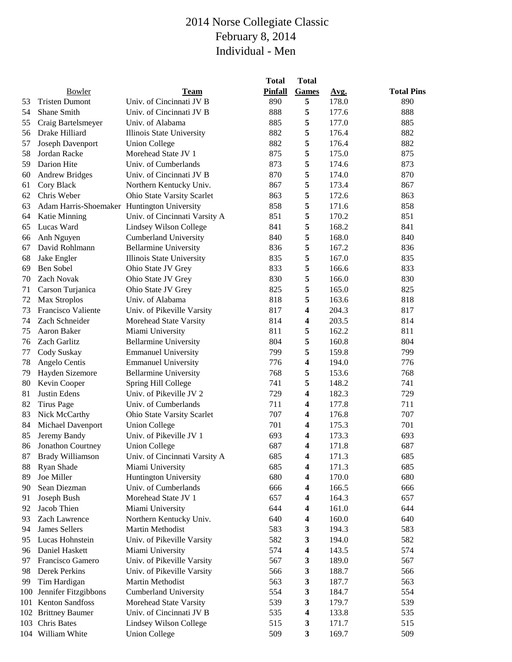|     |                                             |                               | <b>Total</b>   | <b>Total</b>            |       |                   |
|-----|---------------------------------------------|-------------------------------|----------------|-------------------------|-------|-------------------|
|     | Bowler                                      | Team                          | <b>Pinfall</b> | Games                   | Avg.  | <b>Total Pins</b> |
| 53  | <b>Tristen Dumont</b>                       | Univ. of Cincinnati JV B      | 890            | 5                       | 178.0 | 890               |
| 54  | Shane Smith                                 | Univ. of Cincinnati JV B      | 888            | 5                       | 177.6 | 888               |
| 55  | Craig Bartelsmeyer                          | Univ. of Alabama              | 885            | 5                       | 177.0 | 885               |
| 56  | Drake Hilliard                              | Illinois State University     | 882            | 5                       | 176.4 | 882               |
| 57  | Joseph Davenport                            | <b>Union College</b>          | 882            | 5                       | 176.4 | 882               |
| 58  | Jordan Racke                                | Morehead State JV 1           | 875            | 5                       | 175.0 | 875               |
| 59  | Darion Hite                                 | Univ. of Cumberlands          | 873            | 5                       | 174.6 | 873               |
| 60  | <b>Andrew Bridges</b>                       | Univ. of Cincinnati JV B      | 870            | 5                       | 174.0 | 870               |
| 61  | Cory Black                                  | Northern Kentucky Univ.       | 867            | 5                       | 173.4 | 867               |
| 62  | Chris Weber                                 | Ohio State Varsity Scarlet    | 863            | 5                       | 172.6 | 863               |
| 63  | Adam Harris-Shoemaker Huntington University |                               | 858            | 5                       | 171.6 | 858               |
| 64  | Katie Minning                               | Univ. of Cincinnati Varsity A | 851            | 5                       | 170.2 | 851               |
| 65  | Lucas Ward                                  | Lindsey Wilson College        | 841            | 5                       | 168.2 | 841               |
| 66  | Anh Nguyen                                  | <b>Cumberland University</b>  | 840            | 5                       | 168.0 | 840               |
| 67  | David Rohlmann                              | <b>Bellarmine University</b>  | 836            | 5                       | 167.2 | 836               |
| 68  | Jake Engler                                 | Illinois State University     | 835            | 5                       | 167.0 | 835               |
| 69  | Ben Sobel                                   | Ohio State JV Grey            | 833            | 5                       | 166.6 | 833               |
| 70  | Zach Novak                                  | Ohio State JV Grey            | 830            | 5                       | 166.0 | 830               |
| 71  | Carson Turjanica                            | Ohio State JV Grey            | 825            | 5                       | 165.0 | 825               |
| 72  | Max Stroplos                                | Univ. of Alabama              | 818            | 5                       | 163.6 | 818               |
| 73  | <b>Francisco Valiente</b>                   | Univ. of Pikeville Varsity    | 817            | 4                       | 204.3 | 817               |
| 74  | Zach Schneider                              | Morehead State Varsity        | 814            | 4                       | 203.5 | 814               |
| 75  | Aaron Baker                                 | Miami University              | 811            | 5                       | 162.2 | 811               |
| 76  | Zach Garlitz                                | <b>Bellarmine University</b>  | 804            | 5                       | 160.8 | 804               |
| 77  | Cody Suskay                                 | <b>Emmanuel University</b>    | 799            | 5                       | 159.8 | 799               |
| 78  | Angelo Centis                               | <b>Emmanuel University</b>    | 776            | 4                       | 194.0 | 776               |
| 79  | Hayden Sizemore                             | <b>Bellarmine University</b>  | 768            | 5                       | 153.6 | 768               |
| 80  | Kevin Cooper                                | Spring Hill College           | 741            | 5                       | 148.2 | 741               |
| 81  | Justin Edens                                | Univ. of Pikeville JV 2       | 729            | 4                       | 182.3 | 729               |
| 82  | <b>Tirus Page</b>                           | Univ. of Cumberlands          | 711            | 4                       | 177.8 | 711               |
| 83  | Nick McCarthy                               | Ohio State Varsity Scarlet    | 707            | 4                       | 176.8 | 707               |
| 84  | Michael Davenport                           | <b>Union College</b>          | 701            | $\overline{\mathbf{4}}$ | 175.3 | 701               |
| 85  | Jeremy Bandy                                | Univ. of Pikeville JV 1       | 693            | 4                       | 173.3 | 693               |
| 86  | <b>Jonathon Courtney</b>                    | <b>Union College</b>          | 687            | 4                       | 171.8 | 687               |
| 87  | <b>Brady Williamson</b>                     | Univ. of Cincinnati Varsity A | 685            | 4                       | 171.3 | 685               |
| 88  | Ryan Shade                                  | Miami University              | 685            | 4                       | 171.3 | 685               |
| 89  | Joe Miller                                  | Huntington University         | 680            | 4                       | 170.0 | 680               |
| 90  | Sean Diezman                                | Univ. of Cumberlands          | 666            | 4                       | 166.5 | 666               |
| 91  | Joseph Bush                                 | Morehead State JV 1           | 657            | 4                       | 164.3 | 657               |
| 92  | Jacob Thien                                 | Miami University              | 644            | 4                       | 161.0 | 644               |
| 93  | Zach Lawrence                               | Northern Kentucky Univ.       | 640            | 4                       | 160.0 | 640               |
| 94  | James Sellers                               | Martin Methodist              | 583            | 3                       | 194.3 | 583               |
| 95  | Lucas Hohnstein                             | Univ. of Pikeville Varsity    | 582            | 3                       | 194.0 | 582               |
| 96  | Daniel Haskett                              | Miami University              | 574            | 4                       | 143.5 | 574               |
| 97  | Francisco Gamero                            | Univ. of Pikeville Varsity    | 567            | 3                       | 189.0 | 567               |
| 98  | Derek Perkins                               | Univ. of Pikeville Varsity    | 566            | 3                       | 188.7 | 566               |
| 99  | Tim Hardigan                                | Martin Methodist              | 563            | 3                       | 187.7 | 563               |
| 100 | Jennifer Fitzgibbons                        | <b>Cumberland University</b>  | 554            | 3                       | 184.7 | 554               |
| 101 | Kenton Sandfoss                             | Morehead State Varsity        | 539            | 3                       | 179.7 | 539               |
|     | 102 Brittney Baumer                         | Univ. of Cincinnati JV B      | 535            | 4                       | 133.8 | 535               |
| 103 | Chris Bates                                 | Lindsey Wilson College        | 515            | 3                       | 171.7 | 515               |
|     | 104 William White                           | <b>Union College</b>          | 509            | $\mathbf{3}$            | 169.7 | 509               |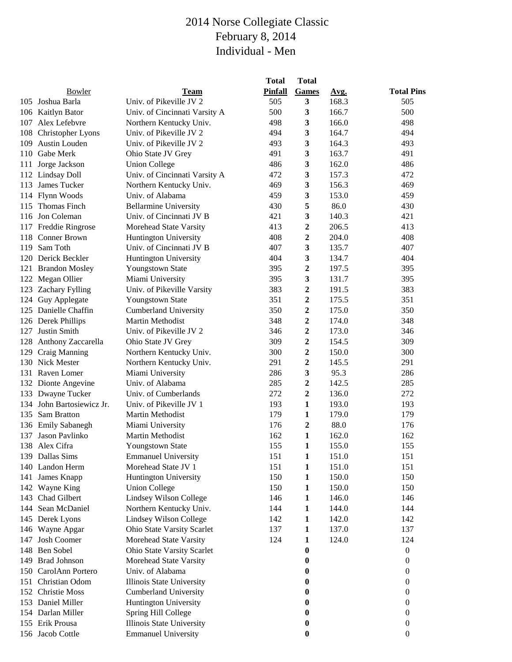|     |                           |                               | <b>Total</b>   | <b>Total</b>     |       |                   |
|-----|---------------------------|-------------------------------|----------------|------------------|-------|-------------------|
|     | Bowler                    | <b>Team</b>                   | <b>Pinfall</b> | <b>Games</b>     | Avg.  | <b>Total Pins</b> |
|     | 105 Joshua Barla          | Univ. of Pikeville JV 2       | 505            | 3                | 168.3 | 505               |
|     | 106 Kaitlyn Bator         | Univ. of Cincinnati Varsity A | 500            | $\mathbf{3}$     | 166.7 | 500               |
|     | 107 Alex Lefebvre         | Northern Kentucky Univ.       | 498            | 3                | 166.0 | 498               |
| 108 | Christopher Lyons         | Univ. of Pikeville JV 2       | 494            | 3                | 164.7 | 494               |
| 109 | Austin Louden             | Univ. of Pikeville JV 2       | 493            | 3                | 164.3 | 493               |
| 110 | Gabe Merk                 | Ohio State JV Grey            | 491            | 3                | 163.7 | 491               |
| 111 | Jorge Jackson             | <b>Union College</b>          | 486            | 3                | 162.0 | 486               |
|     | 112 Lindsay Doll          | Univ. of Cincinnati Varsity A | 472            | 3                | 157.3 | 472               |
|     | 113 James Tucker          | Northern Kentucky Univ.       | 469            | 3                | 156.3 | 469               |
|     | 114 Flynn Woods           | Univ. of Alabama              | 459            | 3                | 153.0 | 459               |
| 115 | Thomas Finch              | <b>Bellarmine University</b>  | 430            | 5                | 86.0  | 430               |
|     | 116 Jon Coleman           | Univ. of Cincinnati JV B      | 421            | 3                | 140.3 | 421               |
|     | 117 Freddie Ringrose      | Morehead State Varsity        | 413            | 2                | 206.5 | 413               |
| 118 | <b>Conner Brown</b>       | Huntington University         | 408            | $\boldsymbol{2}$ | 204.0 | 408               |
| 119 | Sam Toth                  | Univ. of Cincinnati JV B      | 407            | 3                | 135.7 | 407               |
| 120 | Derick Beckler            | Huntington University         | 404            | 3                | 134.7 | 404               |
| 121 | <b>Brandon Mosley</b>     | Youngstown State              | 395            | $\boldsymbol{2}$ | 197.5 | 395               |
|     | 122 Megan Ollier          | Miami University              | 395            | 3                | 131.7 | 395               |
| 123 | <b>Zachary Fylling</b>    | Univ. of Pikeville Varsity    | 383            | 2                | 191.5 | 383               |
| 124 | Guy Applegate             | Youngstown State              | 351            | $\boldsymbol{2}$ | 175.5 | 351               |
|     | 125 Danielle Chaffin      | <b>Cumberland University</b>  | 350            | $\overline{2}$   | 175.0 | 350               |
|     | 126 Derek Phillips        | Martin Methodist              | 348            | 2                | 174.0 | 348               |
| 127 | Justin Smith              | Univ. of Pikeville JV 2       | 346            | 2                | 173.0 | 346               |
|     | 128 Anthony Zaccarella    | Ohio State JV Grey            | 309            | $\mathbf{2}$     | 154.5 | 309               |
| 129 | Craig Manning             | Northern Kentucky Univ.       | 300            | 2                | 150.0 | 300               |
| 130 | Nick Mester               | Northern Kentucky Univ.       | 291            | $\boldsymbol{2}$ | 145.5 | 291               |
| 131 | Raven Lomer               | Miami University              | 286            | 3                | 95.3  | 286               |
|     | 132 Dionte Angevine       | Univ. of Alabama              | 285            | $\mathbf{2}$     | 142.5 | 285               |
|     | 133 Dwayne Tucker         | Univ. of Cumberlands          | 272            | $\boldsymbol{2}$ | 136.0 | 272               |
|     | 134 John Bartosiewicz Jr. | Univ. of Pikeville JV 1       | 193            | $\mathbf{1}$     | 193.0 | 193               |
|     | 135 Sam Bratton           | Martin Methodist              | 179            | 1                | 179.0 | 179               |
|     | 136 Emily Sabanegh        | Miami University              | 176            | 2                | 88.0  | 176               |
|     | 137 Jason Pavlinko        | Martin Methodist              | 162            | $\mathbf{1}$     | 162.0 | 162               |
|     | 138 Alex Cifra            | Youngstown State              | 155            | 1                | 155.0 | 155               |
|     | 139 Dallas Sims           | <b>Emmanuel University</b>    | 151            | 1                | 151.0 | 151               |
|     | 140 Landon Herm           | Morehead State JV 1           | 151            | 1                | 151.0 | 151               |
|     | 141 James Knapp           | Huntington University         | 150            | 1                | 150.0 | 150               |
|     | 142 Wayne King            | <b>Union College</b>          | 150            | 1                | 150.0 | 150               |
|     | 143 Chad Gilbert          | Lindsey Wilson College        | 146            | 1                | 146.0 | 146               |
|     | 144 Sean McDaniel         | Northern Kentucky Univ.       | 144            | 1                | 144.0 | 144               |
|     | 145 Derek Lyons           | Lindsey Wilson College        | 142            | $\mathbf{1}$     | 142.0 | 142               |
|     | 146 Wayne Apgar           | Ohio State Varsity Scarlet    | 137            | 1                | 137.0 | 137               |
| 147 | <b>Josh Coomer</b>        | Morehead State Varsity        | 124            | 1                | 124.0 | 124               |
| 148 | <b>Ben Sobel</b>          | Ohio State Varsity Scarlet    |                | 0                |       | $\boldsymbol{0}$  |
| 149 | <b>Brad Johnson</b>       | Morehead State Varsity        |                | 0                |       | $\boldsymbol{0}$  |
|     | 150 CarolAnn Portero      | Univ. of Alabama              |                | 0                |       | $\boldsymbol{0}$  |
| 151 | Christian Odom            | Illinois State University     |                | 0                |       | 0                 |
|     | 152 Christie Moss         | <b>Cumberland University</b>  |                | 0                |       | 0                 |
|     | 153 Daniel Miller         | <b>Huntington University</b>  |                | 0                |       | 0                 |
|     | 154 Darlan Miller         | Spring Hill College           |                | 0                |       | 0                 |
|     | 155 Erik Prousa           | Illinois State University     |                | 0                |       | 0                 |
|     | 156 Jacob Cottle          | <b>Emmanuel University</b>    |                | 0                |       | 0                 |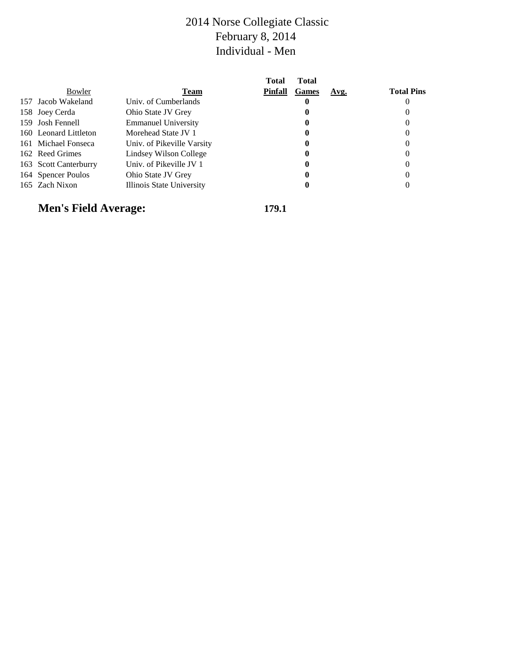|                       |                            | Total          | Total        |      |                   |
|-----------------------|----------------------------|----------------|--------------|------|-------------------|
| Bowler                | <b>Team</b>                | <b>Pinfall</b> | <b>Games</b> | Avg. | <b>Total Pins</b> |
| 157 Jacob Wakeland    | Univ. of Cumberlands       |                | u            |      |                   |
| 158 Joey Cerda        | Ohio State JV Grey         |                |              |      |                   |
| 159 Josh Fennell      | <b>Emmanuel University</b> |                | U            |      |                   |
| 160 Leonard Littleton | Morehead State JV 1        |                | U            |      |                   |
| 161 Michael Fonseca   | Univ. of Pikeville Varsity |                | u            |      |                   |
| 162 Reed Grimes       | Lindsey Wilson College     |                | U            |      |                   |
| 163 Scott Canterburry | Univ. of Pikeville JV 1    |                | U            |      |                   |
| 164 Spencer Poulos    | Ohio State JV Grey         |                |              |      |                   |
| 165 Zach Nixon        | Illinois State University  |                |              |      |                   |
|                       |                            |                |              |      |                   |

# **Men's Field Average: 179.1**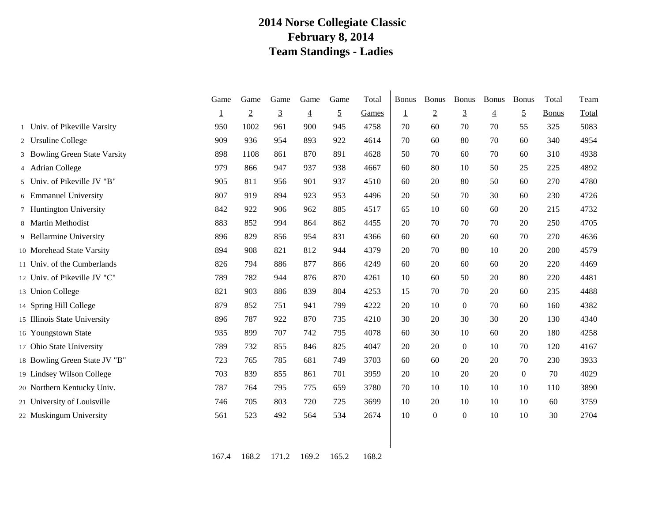### **2014 Norse Collegiate Classic February 8, 2014 Team Standings - Ladies**

|                               | Game | Game           | Game           | Game           | Game           | Total | <b>Bonus</b> | <b>Bonus</b>   | <b>Bonus</b>   | <b>Bonus</b>   | <b>Bonus</b>   | Total        | Team  |
|-------------------------------|------|----------------|----------------|----------------|----------------|-------|--------------|----------------|----------------|----------------|----------------|--------------|-------|
|                               |      | $\overline{2}$ | $\overline{3}$ | $\overline{4}$ | $\overline{2}$ | Games | 1            | $\overline{2}$ | $\overline{3}$ | $\overline{4}$ | $\overline{5}$ | <b>Bonus</b> | Total |
| 1 Univ. of Pikeville Varsity  | 950  | 1002           | 961            | 900            | 945            | 4758  | 70           | 60             | 70             | 70             | 55             | 325          | 5083  |
| 2 Ursuline College            | 909  | 936            | 954            | 893            | 922            | 4614  | 70           | 60             | 80             | 70             | 60             | 340          | 4954  |
| 3 Bowling Green State Varsity | 898  | 1108           | 861            | 870            | 891            | 4628  | 50           | 70             | 60             | 70             | 60             | 310          | 4938  |
| 4 Adrian College              | 979  | 866            | 947            | 937            | 938            | 4667  | 60           | 80             | 10             | 50             | 25             | 225          | 4892  |
| 5 Univ. of Pikeville JV "B"   | 905  | 811            | 956            | 901            | 937            | 4510  | 60           | 20             | 80             | 50             | 60             | 270          | 4780  |
| 6 Emmanuel University         | 807  | 919            | 894            | 923            | 953            | 4496  | 20           | 50             | 70             | 30             | 60             | 230          | 4726  |
| 7 Huntington University       | 842  | 922            | 906            | 962            | 885            | 4517  | 65           | 10             | 60             | 60             | 20             | 215          | 4732  |
| 8 Martin Methodist            | 883  | 852            | 994            | 864            | 862            | 4455  | 20           | 70             | 70             | 70             | 20             | 250          | 4705  |
| 9 Bellarmine University       | 896  | 829            | 856            | 954            | 831            | 4366  | 60           | 60             | 20             | 60             | 70             | 270          | 4636  |
| 10 Morehead State Varsity     | 894  | 908            | 821            | 812            | 944            | 4379  | 20           | 70             | 80             | 10             | 20             | 200          | 4579  |
| 11 Univ. of the Cumberlands   | 826  | 794            | 886            | 877            | 866            | 4249  | 60           | 20             | 60             | 60             | 20             | 220          | 4469  |
| 12 Univ. of Pikeville JV "C"  | 789  | 782            | 944            | 876            | 870            | 4261  | 10           | 60             | 50             | 20             | 80             | 220          | 4481  |
| 13 Union College              | 821  | 903            | 886            | 839            | 804            | 4253  | 15           | 70             | 70             | 20             | 60             | 235          | 4488  |
| 14 Spring Hill College        | 879  | 852            | 751            | 941            | 799            | 4222  | 20           | 10             | $\Omega$       | 70             | 60             | 160          | 4382  |
| 15 Illinois State University  | 896  | 787            | 922            | 870            | 735            | 4210  | 30           | 20             | 30             | 30             | 20             | 130          | 4340  |
| 16 Youngstown State           | 935  | 899            | 707            | 742            | 795            | 4078  | 60           | 30             | 10             | 60             | 20             | 180          | 4258  |
| 17 Ohio State University      | 789  | 732            | 855            | 846            | 825            | 4047  | 20           | 20             | $\overline{0}$ | 10             | 70             | 120          | 4167  |
| 18 Bowling Green State JV "B" | 723  | 765            | 785            | 681            | 749            | 3703  | 60           | 60             | 20             | 20             | 70             | 230          | 3933  |
| 19 Lindsey Wilson College     | 703  | 839            | 855            | 861            | 701            | 3959  | 20           | 10             | 20             | 20             | $\Omega$       | 70           | 4029  |
| 20 Northern Kentucky Univ.    | 787  | 764            | 795            | 775            | 659            | 3780  | 70           | 10             | 10             | 10             | 10             | 110          | 3890  |
| 21 University of Louisville   | 746  | 705            | 803            | 720            | 725            | 3699  | 10           | 20             | 10             | 10             | 10             | 60           | 3759  |
| 22 Muskingum University       | 561  | 523            | 492            | 564            | 534            | 2674  | 10           | $\mathbf{0}$   | $\theta$       | 10             | 10             | 30           | 2704  |
|                               |      |                |                |                |                |       |              |                |                |                |                |              |       |

167.4 168.2 171.2 169.2 165.2 168.2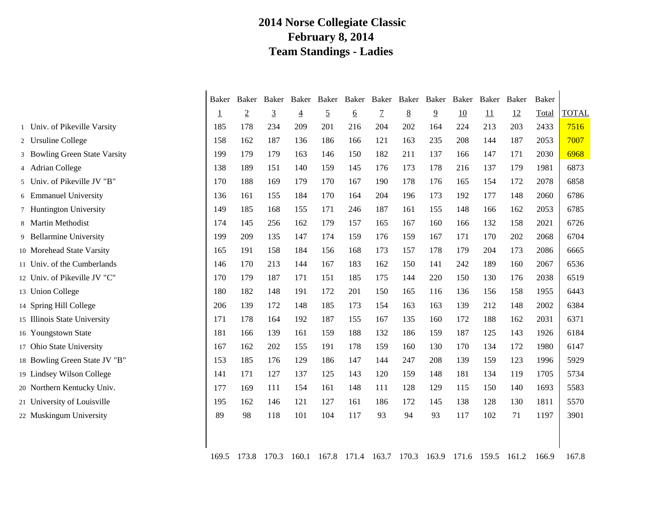### **2014 Norse Collegiate Classic February 8, 2014 Team Standings - Ladies**

|                                | Baker          | Baker          |                | Baker Baker    |                | Baker Baker Baker Baker Baker |                |                 |                | Baker | Baker | Baker | <b>Baker</b> |              |
|--------------------------------|----------------|----------------|----------------|----------------|----------------|-------------------------------|----------------|-----------------|----------------|-------|-------|-------|--------------|--------------|
|                                | $\overline{1}$ | $\overline{2}$ | $\overline{3}$ | $\overline{4}$ | $\overline{5}$ | <u>6</u>                      | $\overline{1}$ | $8\overline{8}$ | $\overline{9}$ | 10    | 11    | 12    | Total        | <b>TOTAL</b> |
| 1 Univ. of Pikeville Varsity   | 185            | 178            | 234            | 209            | 201            | 216                           | 204            | 202             | 164            | 224   | 213   | 203   | 2433         | 7516         |
| 2 Ursuline College             | 158            | 162            | 187            | 136            | 186            | 166                           | 121            | 163             | 235            | 208   | 144   | 187   | 2053         | 7007         |
| 3 Bowling Green State Varsity  | 199            | 179            | 179            | 163            | 146            | 150                           | 182            | 211             | 137            | 166   | 147   | 171   | 2030         | 6968         |
| 4 Adrian College               | 138            | 189            | 151            | 140            | 159            | 145                           | 176            | 173             | 178            | 216   | 137   | 179   | 1981         | 6873         |
| Univ. of Pikeville JV "B"<br>5 | 170            | 188            | 169            | 179            | 170            | 167                           | 190            | 178             | 176            | 165   | 154   | 172   | 2078         | 6858         |
| 6 Emmanuel University          | 136            | 161            | 155            | 184            | 170            | 164                           | 204            | 196             | 173            | 192   | 177   | 148   | 2060         | 6786         |
| 7 Huntington University        | 149            | 185            | 168            | 155            | 171            | 246                           | 187            | 161             | 155            | 148   | 166   | 162   | 2053         | 6785         |
| 8 Martin Methodist             | 174            | 145            | 256            | 162            | 179            | 157                           | 165            | 167             | 160            | 166   | 132   | 158   | 2021         | 6726         |
| 9 Bellarmine University        | 199            | 209            | 135            | 147            | 174            | 159                           | 176            | 159             | 167            | 171   | 170   | 202   | 2068         | 6704         |
| 10 Morehead State Varsity      | 165            | 191            | 158            | 184            | 156            | 168                           | 173            | 157             | 178            | 179   | 204   | 173   | 2086         | 6665         |
| 11 Univ. of the Cumberlands    | 146            | 170            | 213            | 144            | 167            | 183                           | 162            | 150             | 141            | 242   | 189   | 160   | 2067         | 6536         |
| 12 Univ. of Pikeville JV "C"   | 170            | 179            | 187            | 171            | 151            | 185                           | 175            | 144             | 220            | 150   | 130   | 176   | 2038         | 6519         |
| 13 Union College               | 180            | 182            | 148            | 191            | 172            | 201                           | 150            | 165             | 116            | 136   | 156   | 158   | 1955         | 6443         |
| 14 Spring Hill College         | 206            | 139            | 172            | 148            | 185            | 173                           | 154            | 163             | 163            | 139   | 212   | 148   | 2002         | 6384         |
| 15 Illinois State University   | 171            | 178            | 164            | 192            | 187            | 155                           | 167            | 135             | 160            | 172   | 188   | 162   | 2031         | 6371         |
| 16 Youngstown State            | 181            | 166            | 139            | 161            | 159            | 188                           | 132            | 186             | 159            | 187   | 125   | 143   | 1926         | 6184         |
| 17 Ohio State University       | 167            | 162            | 202            | 155            | 191            | 178                           | 159            | 160             | 130            | 170   | 134   | 172   | 1980         | 6147         |
| 18 Bowling Green State JV "B"  | 153            | 185            | 176            | 129            | 186            | 147                           | 144            | 247             | 208            | 139   | 159   | 123   | 1996         | 5929         |
| 19 Lindsey Wilson College      | 141            | 171            | 127            | 137            | 125            | 143                           | 120            | 159             | 148            | 181   | 134   | 119   | 1705         | 5734         |
| 20 Northern Kentucky Univ.     | 177            | 169            | 111            | 154            | 161            | 148                           | 111            | 128             | 129            | 115   | 150   | 140   | 1693         | 5583         |
| 21 University of Louisville    | 195            | 162            | 146            | 121            | 127            | 161                           | 186            | 172             | 145            | 138   | 128   | 130   | 1811         | 5570         |
| 22 Muskingum University        | 89             | 98             | 118            | 101            | 104            | 117                           | 93             | 94              | 93             | 117   | 102   | 71    | 1197         | 3901         |
|                                |                |                |                |                |                |                               |                |                 |                |       |       |       |              |              |
|                                | 169.5          | 173.8          | 170.3          | 160.1          | 167.8          | 171.4 163.7 170.3             |                |                 | 163.9          | 171.6 | 159.5 | 161.2 | 166.9        | 167.8        |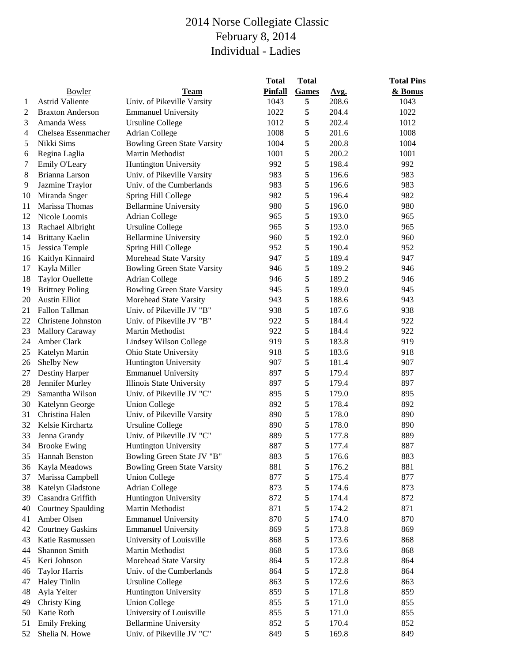|    |                         |                                    | <b>Total</b>   | <b>Total</b> |       | <b>Total Pins</b> |
|----|-------------------------|------------------------------------|----------------|--------------|-------|-------------------|
|    | Bowler                  | <b>Team</b>                        | <b>Pinfall</b> | Games        | Avg.  | & Bonus           |
| 1  | <b>Astrid Valiente</b>  | Univ. of Pikeville Varsity         | 1043           | 5            | 208.6 | 1043              |
| 2  | <b>Braxton Anderson</b> | <b>Emmanuel University</b>         | 1022           | 5            | 204.4 | 1022              |
| 3  | Amanda Wess             | <b>Ursuline College</b>            | 1012           | 5            | 202.4 | 1012              |
| 4  | Chelsea Essenmacher     | <b>Adrian College</b>              | 1008           | 5            | 201.6 | 1008              |
| 5  | Nikki Sims              | <b>Bowling Green State Varsity</b> | 1004           | $\sqrt{5}$   | 200.8 | 1004              |
| 6  | Regina Laglia           | Martin Methodist                   | 1001           | 5            | 200.2 | 1001              |
| 7  | Emily O'Leary           | <b>Huntington University</b>       | 992            | 5            | 198.4 | 992               |
| 8  | Brianna Larson          | Univ. of Pikeville Varsity         | 983            | 5            | 196.6 | 983               |
| 9  | Jazmine Traylor         | Univ. of the Cumberlands           | 983            | 5            | 196.6 | 983               |
| 10 | Miranda Snger           | Spring Hill College                | 982            | 5            | 196.4 | 982               |
| 11 | Marissa Thomas          | <b>Bellarmine University</b>       | 980            | 5            | 196.0 | 980               |
| 12 | Nicole Loomis           | Adrian College                     | 965            | 5            | 193.0 | 965               |
| 13 | Rachael Albright        | <b>Ursuline College</b>            | 965            | 5            | 193.0 | 965               |
| 14 | <b>Brittany Kaelin</b>  | <b>Bellarmine University</b>       | 960            | 5            | 192.0 | 960               |
| 15 | Jessica Temple          | Spring Hill College                | 952            | 5            | 190.4 | 952               |
| 16 | Kaitlyn Kinnaird        | Morehead State Varsity             | 947            | $\sqrt{5}$   | 189.4 | 947               |
| 17 | Kayla Miller            | <b>Bowling Green State Varsity</b> | 946            | $\sqrt{5}$   | 189.2 | 946               |
| 18 | <b>Taylor Ouellette</b> | <b>Adrian College</b>              | 946            | 5            | 189.2 | 946               |
| 19 | <b>Brittney Poling</b>  | <b>Bowling Green State Varsity</b> | 945            | 5            | 189.0 | 945               |
| 20 | <b>Austin Elliot</b>    | Morehead State Varsity             | 943            | 5            | 188.6 | 943               |
| 21 | Fallon Tallman          | Univ. of Pikeville JV "B"          | 938            | 5            | 187.6 | 938               |
| 22 | Christene Johnston      | Univ. of Pikeville JV "B"          | 922            | 5            | 184.4 | 922               |
| 23 | <b>Mallory Caraway</b>  | Martin Methodist                   | 922            | 5            | 184.4 | 922               |
| 24 | Amber Clark             | Lindsey Wilson College             | 919            | 5            | 183.8 | 919               |
| 25 | Katelyn Martin          | Ohio State University              | 918            | 5            | 183.6 | 918               |
| 26 | Shelby New              | Huntington University              | 907            | 5            | 181.4 | 907               |
| 27 | <b>Destiny Harper</b>   | <b>Emmanuel University</b>         | 897            | 5            | 179.4 | 897               |
| 28 | Jennifer Murley         | Illinois State University          | 897            | 5            | 179.4 | 897               |
| 29 | Samantha Wilson         | Univ. of Pikeville JV "C"          | 895            | $\sqrt{5}$   | 179.0 | 895               |
| 30 | Katelynn George         | <b>Union College</b>               | 892            | $\sqrt{5}$   | 178.4 | 892               |
| 31 | Christina Halen         | Univ. of Pikeville Varsity         | 890            | 5            | 178.0 | 890               |
| 32 | Kelsie Kirchartz        | <b>Ursuline College</b>            | 890            | 5            | 178.0 | 890               |
| 33 | Jenna Grandy            | Univ. of Pikeville JV "C"          | 889            | 5            | 177.8 | 889               |
| 34 | <b>Brooke Ewing</b>     | <b>Huntington University</b>       | 887            | 5            | 177.4 | 887               |
| 35 | Hannah Benston          | Bowling Green State JV "B"         | 883            | 5            | 176.6 | 883               |
| 36 | Kayla Meadows           | <b>Bowling Green State Varsity</b> | 881            | 5            | 176.2 | 881               |
| 37 | Marissa Campbell        | <b>Union College</b>               | 877            | 5            | 175.4 | 877               |
| 38 | Katelyn Gladstone       | <b>Adrian College</b>              | 873            | 5            | 174.6 | 873               |
| 39 | Casandra Griffith       | Huntington University              | 872            | 5            | 174.4 | 872               |
| 40 | Courtney Spaulding      | Martin Methodist                   | 871            | 5            | 174.2 | 871               |
| 41 | Amber Olsen             | <b>Emmanuel University</b>         | 870            | 5            | 174.0 | 870               |
| 42 | <b>Courtney Gaskins</b> | <b>Emmanuel University</b>         | 869            | 5            | 173.8 | 869               |
| 43 | Katie Rasmussen         | University of Louisville           | 868            | 5            | 173.6 | 868               |
| 44 | Shannon Smith           | Martin Methodist                   | 868            | 5            | 173.6 | 868               |
| 45 | Keri Johnson            | Morehead State Varsity             | 864            | 5            | 172.8 | 864               |
| 46 | <b>Taylor Harris</b>    | Univ. of the Cumberlands           | 864            | 5            | 172.8 | 864               |
| 47 | <b>Haley Tinlin</b>     | <b>Ursuline College</b>            | 863            | 5            | 172.6 | 863               |
| 48 | Ayla Yeiter             | Huntington University              | 859            | 5            | 171.8 | 859               |
| 49 | <b>Christy King</b>     | <b>Union College</b>               | 855            | 5            | 171.0 | 855               |
| 50 | Katie Roth              | University of Louisville           | 855            | 5            | 171.0 | 855               |
| 51 | <b>Emily Freking</b>    | <b>Bellarmine University</b>       | 852            | 5            | 170.4 | 852               |
| 52 | Shelia N. Howe          | Univ. of Pikeville JV "C"          | 849            | 5            | 169.8 | 849               |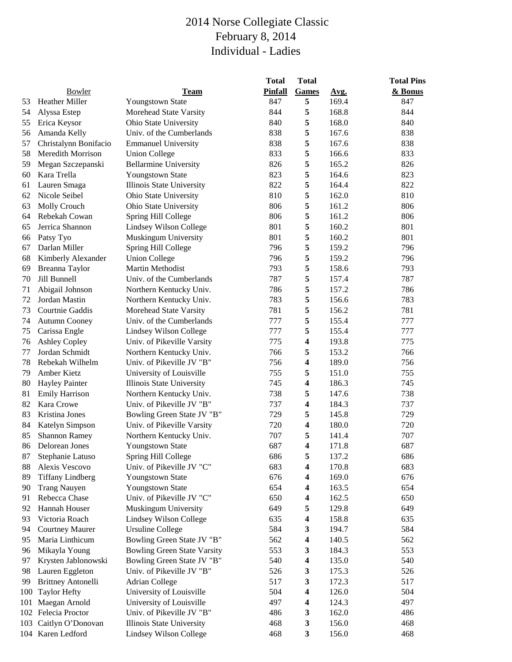|     |                           |                                    | <b>Total</b>   | <b>Total</b>            |       | <b>Total Pins</b> |
|-----|---------------------------|------------------------------------|----------------|-------------------------|-------|-------------------|
|     | Bowler                    | <b>Team</b>                        | <b>Pinfall</b> | Games                   | Avg.  | & Bonus           |
| 53  | Heather Miller            | <b>Youngstown State</b>            | 847            | 5                       | 169.4 | 847               |
| 54  | Alyssa Estep              | Morehead State Varsity             | 844            | 5                       | 168.8 | 844               |
| 55  | Erica Keysor              | Ohio State University              | 840            | 5                       | 168.0 | 840               |
| 56  | Amanda Kelly              | Univ. of the Cumberlands           | 838            | 5                       | 167.6 | 838               |
| 57  | Christalynn Bonifacio     | <b>Emmanuel University</b>         | 838            | 5                       | 167.6 | 838               |
| 58  | Meredith Morrison         | <b>Union College</b>               | 833            | 5                       | 166.6 | 833               |
| 59  | Megan Szczepanski         | <b>Bellarmine University</b>       | 826            | 5                       | 165.2 | 826               |
| 60  | Kara Trella               | Youngstown State                   | 823            | 5                       | 164.6 | 823               |
| 61  | Lauren Smaga              | Illinois State University          | 822            | 5                       | 164.4 | 822               |
| 62  | Nicole Seibel             | Ohio State University              | 810            | 5                       | 162.0 | 810               |
| 63  | Molly Crouch              | Ohio State University              | 806            | 5                       | 161.2 | 806               |
| 64  | Rebekah Cowan             | Spring Hill College                | 806            | 5                       | 161.2 | 806               |
| 65  | Jerrica Shannon           | Lindsey Wilson College             | 801            | 5                       | 160.2 | 801               |
| 66  | Patsy Tyo                 | Muskingum University               | 801            | 5                       | 160.2 | 801               |
| 67  | Darlan Miller             | Spring Hill College                | 796            | 5                       | 159.2 | 796               |
| 68  | Kimberly Alexander        | <b>Union College</b>               | 796            | $\sqrt{5}$              | 159.2 | 796               |
| 69  | Breanna Taylor            | Martin Methodist                   | 793            | 5                       | 158.6 | 793               |
| 70  | Jill Bunnell              | Univ. of the Cumberlands           | 787            | 5                       | 157.4 | 787               |
| 71  | Abigail Johnson           | Northern Kentucky Univ.            | 786            | 5                       | 157.2 | 786               |
| 72  | Jordan Mastin             | Northern Kentucky Univ.            | 783            | 5                       | 156.6 | 783               |
| 73  | Courtnie Gaddis           | Morehead State Varsity             | 781            | 5                       | 156.2 | 781               |
| 74  | <b>Autumn Cooney</b>      | Univ. of the Cumberlands           | 777            | 5                       | 155.4 | 777               |
| 75  | Carissa Engle             | Lindsey Wilson College             | 777            | 5                       | 155.4 | 777               |
| 76  | <b>Ashley Copley</b>      | Univ. of Pikeville Varsity         | 775            | 4                       | 193.8 | 775               |
| 77  | Jordan Schmidt            | Northern Kentucky Univ.            | 766            | 5                       | 153.2 | 766               |
| 78  | Rebekah Wilhelm           | Univ. of Pikeville JV "B"          | 756            | 4                       | 189.0 | 756               |
| 79  | Amber Kietz               | University of Louisville           | 755            | 5                       | 151.0 | 755               |
| 80  | <b>Hayley Painter</b>     | Illinois State University          | 745            | $\boldsymbol{4}$        | 186.3 | 745               |
| 81  | <b>Emily Harrison</b>     | Northern Kentucky Univ.            | 738            | 5                       | 147.6 | 738               |
| 82  | Kara Crowe                | Univ. of Pikeville JV "B"          | 737            | $\overline{\mathbf{4}}$ | 184.3 | 737               |
| 83  | Kristina Jones            | Bowling Green State JV "B"         | 729            | 5                       | 145.8 | 729               |
| 84  | Katelyn Simpson           | Univ. of Pikeville Varsity         | 720            | $\overline{\mathbf{4}}$ | 180.0 | 720               |
| 85  | <b>Shannon Ramey</b>      | Northern Kentucky Univ.            | 707            | 5                       | 141.4 | 707               |
| 86  | Delorean Jones            | Youngstown State                   | 687            | $\overline{\mathbf{4}}$ | 171.8 | 687               |
| 87  | Stephanie Latuso          | Spring Hill College                | 686            | 5                       | 137.2 | 686               |
| 88  | Alexis Vescovo            | Univ. of Pikeville JV "C"          | 683            | 4                       | 170.8 | 683               |
| 89  | <b>Tiffany Lindberg</b>   | Youngstown State                   | 676            | 4                       | 169.0 | 676               |
| 90  | <b>Trang Nauyen</b>       | Youngstown State                   | 654            | 4                       | 163.5 | 654               |
| 91  | Rebecca Chase             | Univ. of Pikeville JV "C"          | 650            | 4                       | 162.5 | 650               |
| 92  | Hannah Houser             | Muskingum University               | 649            | 5                       | 129.8 | 649               |
| 93  | Victoria Roach            | Lindsey Wilson College             | 635            | 4                       | 158.8 | 635               |
| 94  | <b>Courtney Maurer</b>    | <b>Ursuline College</b>            | 584            | 3                       | 194.7 | 584               |
| 95  | Maria Linthicum           | Bowling Green State JV "B"         | 562            | 4                       | 140.5 | 562               |
| 96  | Mikayla Young             | <b>Bowling Green State Varsity</b> | 553            | 3                       | 184.3 | 553               |
| 97  | Krysten Jablonowski       | Bowling Green State JV "B"         | 540            | 4                       | 135.0 | 540               |
| 98  | Lauren Eggleton           | Univ. of Pikeville JV "B"          | 526            | 3                       | 175.3 | 526               |
| 99  | <b>Brittney Antonelli</b> | <b>Adrian College</b>              | 517            | 3                       | 172.3 | 517               |
| 100 | <b>Taylor Hefty</b>       | University of Louisville           | 504            | 4                       | 126.0 | 504               |
| 101 | Maegan Arnold             | University of Louisville           | 497            | 4                       | 124.3 | 497               |
|     | 102 Felecia Proctor       | Univ. of Pikeville JV "B"          | 486            | 3                       | 162.0 | 486               |
|     | 103 Caitlyn O'Donovan     | Illinois State University          | 468            | 3                       | 156.0 | 468               |
|     | 104 Karen Ledford         | Lindsey Wilson College             | 468            | 3                       | 156.0 | 468               |
|     |                           |                                    |                |                         |       |                   |